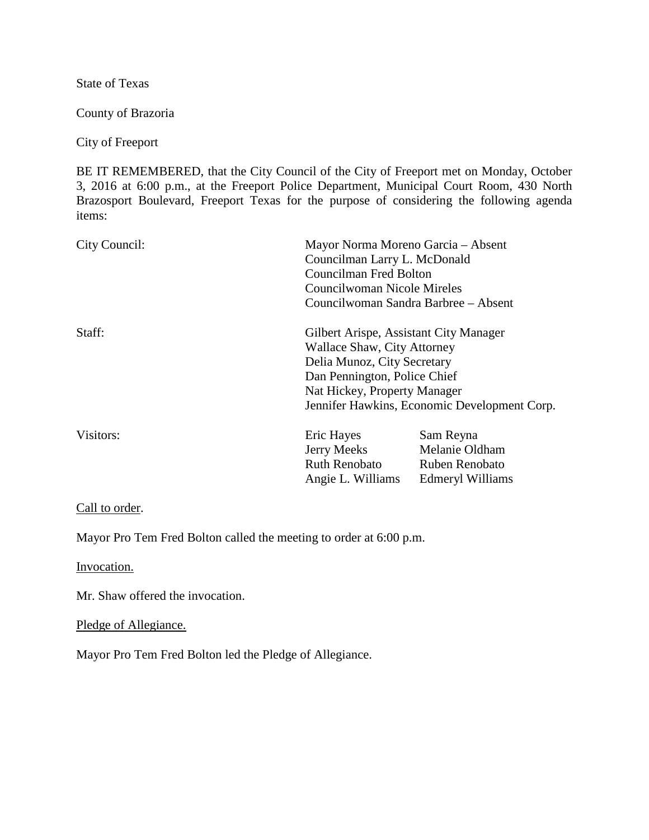State of Texas

County of Brazoria

## City of Freeport

BE IT REMEMBERED, that the City Council of the City of Freeport met on Monday, October 3, 2016 at 6:00 p.m., at the Freeport Police Department, Municipal Court Room, 430 North Brazosport Boulevard, Freeport Texas for the purpose of considering the following agenda items:

| City Council: | Mayor Norma Moreno Garcia - Absent<br>Councilman Larry L. McDonald<br>Councilman Fred Bolton<br>Councilwoman Nicole Mireles<br>Councilwoman Sandra Barbree – Absent |                                                                                                                                                                                                                      |  |
|---------------|---------------------------------------------------------------------------------------------------------------------------------------------------------------------|----------------------------------------------------------------------------------------------------------------------------------------------------------------------------------------------------------------------|--|
| Staff:        |                                                                                                                                                                     | Gilbert Arispe, Assistant City Manager<br>Wallace Shaw, City Attorney<br>Delia Munoz, City Secretary<br>Dan Pennington, Police Chief<br>Nat Hickey, Property Manager<br>Jennifer Hawkins, Economic Development Corp. |  |
| Visitors:     | Eric Hayes<br>Jerry Meeks<br>Ruth Renobato<br>Angie L. Williams                                                                                                     | Sam Reyna<br>Melanie Oldham<br>Ruben Renobato<br>Edmeryl Williams                                                                                                                                                    |  |

## Call to order.

Mayor Pro Tem Fred Bolton called the meeting to order at 6:00 p.m.

Invocation.

Mr. Shaw offered the invocation.

## Pledge of Allegiance.

Mayor Pro Tem Fred Bolton led the Pledge of Allegiance.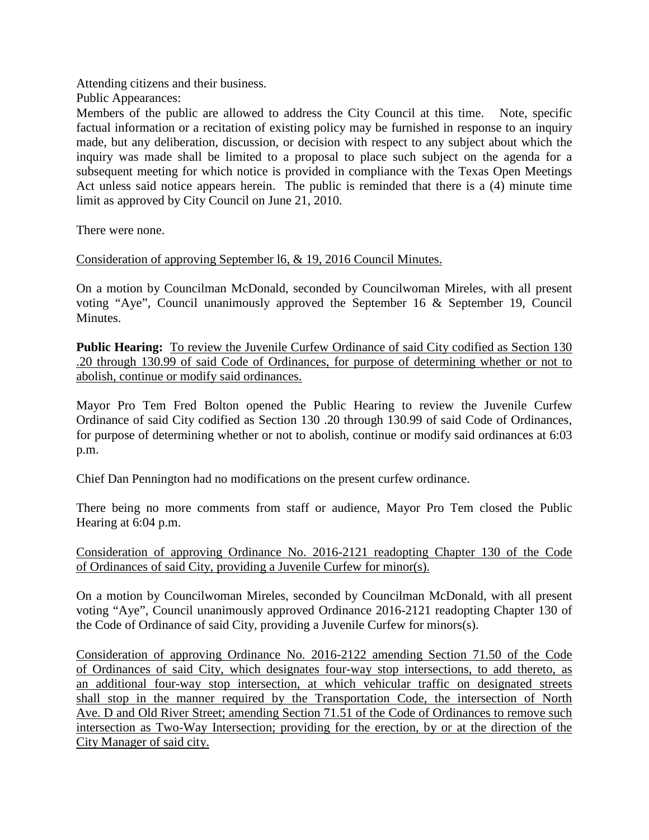Attending citizens and their business.

Public Appearances:

Members of the public are allowed to address the City Council at this time. Note, specific factual information or a recitation of existing policy may be furnished in response to an inquiry made, but any deliberation, discussion, or decision with respect to any subject about which the inquiry was made shall be limited to a proposal to place such subject on the agenda for a subsequent meeting for which notice is provided in compliance with the Texas Open Meetings Act unless said notice appears herein. The public is reminded that there is a (4) minute time limit as approved by City Council on June 21, 2010.

There were none.

Consideration of approving September l6, & 19, 2016 Council Minutes.

On a motion by Councilman McDonald, seconded by Councilwoman Mireles, with all present voting "Aye", Council unanimously approved the September 16 & September 19, Council Minutes.

**Public Hearing:** To review the Juvenile Curfew Ordinance of said City codified as Section 130 .20 through 130.99 of said Code of Ordinances, for purpose of determining whether or not to abolish, continue or modify said ordinances.

Mayor Pro Tem Fred Bolton opened the Public Hearing to review the Juvenile Curfew Ordinance of said City codified as Section 130 .20 through 130.99 of said Code of Ordinances, for purpose of determining whether or not to abolish, continue or modify said ordinances at 6:03 p.m.

Chief Dan Pennington had no modifications on the present curfew ordinance.

There being no more comments from staff or audience, Mayor Pro Tem closed the Public Hearing at 6:04 p.m.

Consideration of approving Ordinance No. 2016-2121 readopting Chapter 130 of the Code of Ordinances of said City, providing a Juvenile Curfew for minor(s).

On a motion by Councilwoman Mireles, seconded by Councilman McDonald, with all present voting "Aye", Council unanimously approved Ordinance 2016-2121 readopting Chapter 130 of the Code of Ordinance of said City, providing a Juvenile Curfew for minors(s).

Consideration of approving Ordinance No. 2016-2122 amending Section 71.50 of the Code of Ordinances of said City, which designates four-way stop intersections, to add thereto, as an additional four-way stop intersection, at which vehicular traffic on designated streets shall stop in the manner required by the Transportation Code, the intersection of North Ave. D and Old River Street; amending Section 71.51 of the Code of Ordinances to remove such intersection as Two-Way Intersection; providing for the erection, by or at the direction of the City Manager of said city.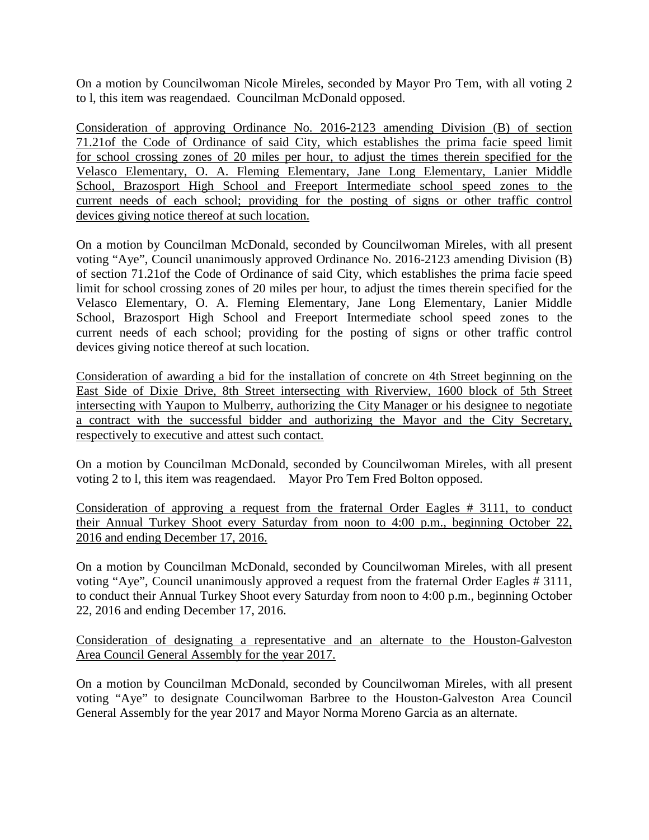On a motion by Councilwoman Nicole Mireles, seconded by Mayor Pro Tem, with all voting 2 to l, this item was reagendaed. Councilman McDonald opposed.

Consideration of approving Ordinance No. 2016-2123 amending Division (B) of section 71.21of the Code of Ordinance of said City, which establishes the prima facie speed limit for school crossing zones of 20 miles per hour, to adjust the times therein specified for the Velasco Elementary, O. A. Fleming Elementary, Jane Long Elementary, Lanier Middle School, Brazosport High School and Freeport Intermediate school speed zones to the current needs of each school; providing for the posting of signs or other traffic control devices giving notice thereof at such location.

On a motion by Councilman McDonald, seconded by Councilwoman Mireles, with all present voting "Aye", Council unanimously approved Ordinance No. 2016-2123 amending Division (B) of section 71.21of the Code of Ordinance of said City, which establishes the prima facie speed limit for school crossing zones of 20 miles per hour, to adjust the times therein specified for the Velasco Elementary, O. A. Fleming Elementary, Jane Long Elementary, Lanier Middle School, Brazosport High School and Freeport Intermediate school speed zones to the current needs of each school; providing for the posting of signs or other traffic control devices giving notice thereof at such location.

Consideration of awarding a bid for the installation of concrete on 4th Street beginning on the East Side of Dixie Drive, 8th Street intersecting with Riverview, 1600 block of 5th Street intersecting with Yaupon to Mulberry, authorizing the City Manager or his designee to negotiate a contract with the successful bidder and authorizing the Mayor and the City Secretary, respectively to executive and attest such contact.

On a motion by Councilman McDonald, seconded by Councilwoman Mireles, with all present voting 2 to l, this item was reagendaed. Mayor Pro Tem Fred Bolton opposed.

Consideration of approving a request from the fraternal Order Eagles # 3111, to conduct their Annual Turkey Shoot every Saturday from noon to 4:00 p.m., beginning October 22, 2016 and ending December 17, 2016.

On a motion by Councilman McDonald, seconded by Councilwoman Mireles, with all present voting "Aye", Council unanimously approved a request from the fraternal Order Eagles # 3111, to conduct their Annual Turkey Shoot every Saturday from noon to 4:00 p.m., beginning October 22, 2016 and ending December 17, 2016.

Consideration of designating a representative and an alternate to the Houston-Galveston Area Council General Assembly for the year 2017.

On a motion by Councilman McDonald, seconded by Councilwoman Mireles, with all present voting "Aye" to designate Councilwoman Barbree to the Houston-Galveston Area Council General Assembly for the year 2017 and Mayor Norma Moreno Garcia as an alternate.